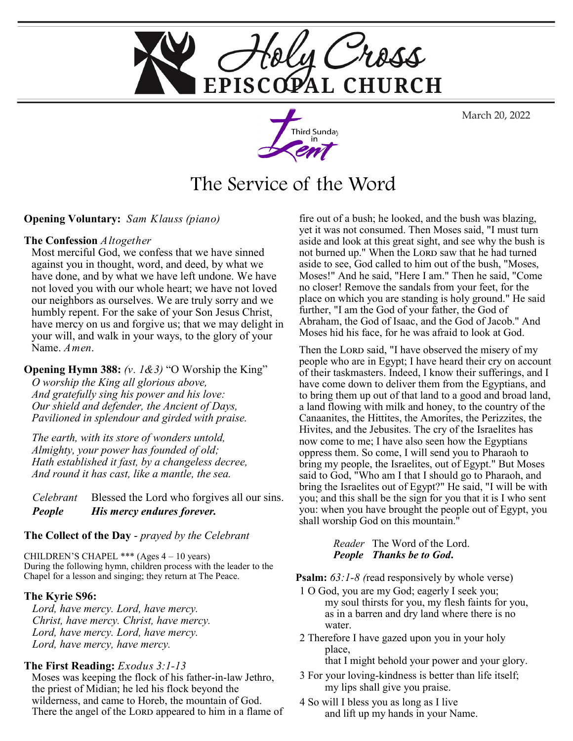

March 20, 2022



# The Service of the Word

## **Opening Voluntary:** *Sam Klauss (piano)*

## **The Confession** *Altogether*

Most merciful God, we confess that we have sinned against you in thought, word, and deed, by what we have done, and by what we have left undone. We have not loved you with our whole heart; we have not loved our neighbors as ourselves. We are truly sorry and we humbly repent. For the sake of your Son Jesus Christ, have mercy on us and forgive us; that we may delight in your will, and walk in your ways, to the glory of your Name. *Amen*.

#### **Opening Hymn 388:** *(v. 1&3)* "O Worship the King"

*O worship the King all glorious above, And gratefully sing his power and his love: Our shield and defender, the Ancient of Days, Pavilioned in splendour and girded with praise.*

*The earth, with its store of wonders untold, Almighty, your power has founded of old; Hath established it fast, by a changeless decree, And round it has cast, like a mantle, the sea.*

*Celebrant* Blessed the Lord who forgives all our sins. *People His mercy endures forever.* 

## **The Collect of the Day** - *prayed by the Celebrant*

CHILDREN'S CHAPEL \*\*\* (Ages 4 – 10 years) During the following hymn, children process with the leader to the Chapel for a lesson and singing; they return at The Peace.

## **The Kyrie S96:**

*Lord, have mercy. Lord, have mercy. Christ, have mercy. Christ, have mercy. Lord, have mercy. Lord, have mercy. Lord, have mercy, have mercy.* 

## **The First Reading:** *Exodus 3:1-13*

Moses was keeping the flock of his father-in-law Jethro, the priest of Midian; he led his flock beyond the wilderness, and came to Horeb, the mountain of God. There the angel of the LORD appeared to him in a flame of

fire out of a bush; he looked, and the bush was blazing, yet it was not consumed. Then Moses said, "I must turn aside and look at this great sight, and see why the bush is not burned up." When the LORD saw that he had turned aside to see, God called to him out of the bush, "Moses, Moses!" And he said, "Here I am." Then he said, "Come no closer! Remove the sandals from your feet, for the place on which you are standing is holy ground." He said further, "I am the God of your father, the God of Abraham, the God of Isaac, and the God of Jacob." And Moses hid his face, for he was afraid to look at God.

Then the Lord said, "I have observed the misery of my people who are in Egypt; I have heard their cry on account of their taskmasters. Indeed, I know their sufferings, and I have come down to deliver them from the Egyptians, and to bring them up out of that land to a good and broad land, a land flowing with milk and honey, to the country of the Canaanites, the Hittites, the Amorites, the Perizzites, the Hivites, and the Jebusites. The cry of the Israelites has now come to me; I have also seen how the Egyptians oppress them. So come, I will send you to Pharaoh to bring my people, the Israelites, out of Egypt." But Moses said to God, "Who am I that I should go to Pharaoh, and bring the Israelites out of Egypt?" He said, "I will be with you; and this shall be the sign for you that it is I who sent you: when you have brought the people out of Egypt, you shall worship God on this mountain."

> *Reader* The Word of the Lord. *People Thanks be to God***.**

**Psalm:** *63:1-8 (*read responsively by whole verse)

- 1 O God, you are my God; eagerly I seek you; my soul thirsts for you, my flesh faints for you, as in a barren and dry land where there is no water.
- 2 Therefore I have gazed upon you in your holy place,

that I might behold your power and your glory.

- 3 For your loving-kindness is better than life itself; my lips shall give you praise.
- 4 So will I bless you as long as I live and lift up my hands in your Name.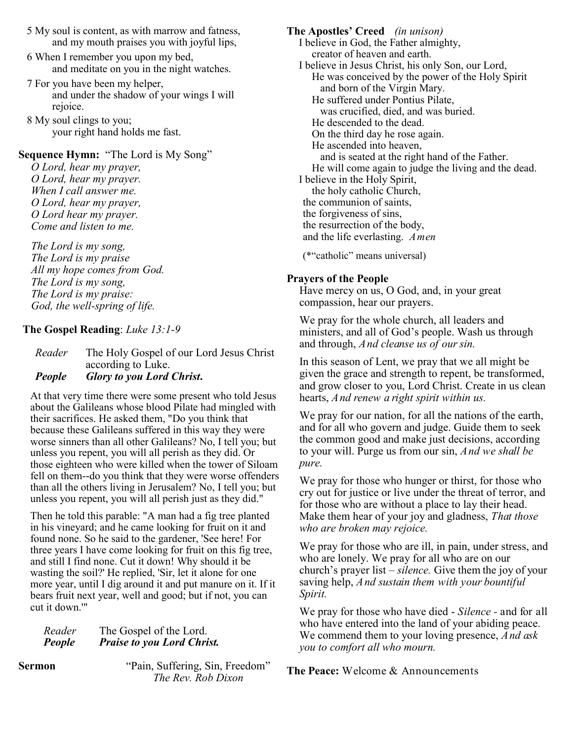- 5 My soul is content, as with marrow and fatness, and my mouth praises you with joyful lips,
- 6 When I remember you upon my bed, and meditate on you in the night watches.
- 7 For you have been my helper, and under the shadow of your wings I will rejoice.
- 8 My soul clings to you; your right hand holds me fast.

## **Sequence Hymn:** "The Lord is My Song"

*O Lord, hear my prayer, O Lord, hear my prayer. When I call answer me. O Lord, hear my prayer, O Lord hear my prayer. Come and listen to me.*

*The Lord is my song, The Lord is my praise All my hope comes from God. The Lord is my song, The Lord is my praise: God, the well-spring of life.*

## **The Gospel Reading**: *Luke 13:1-9*

*Reader* The Holy Gospel of our Lord Jesus Christ according to Luke. *People Glory to you Lord Christ***.** 

At that very time there were some present who told Jesus about the Galileans whose blood Pilate had mingled with their sacrifices. He asked them, "Do you think that because these Galileans suffered in this way they were worse sinners than all other Galileans? No, I tell you; but unless you repent, you will all perish as they did. Or those eighteen who were killed when the tower of Siloam fell on them--do you think that they were worse offenders than all the others living in Jerusalem? No, I tell you; but unless you repent, you will all perish just as they did."

Then he told this parable: "A man had a fig tree planted in his vineyard; and he came looking for fruit on it and found none. So he said to the gardener, 'See here! For three years I have come looking for fruit on this fig tree, and still I find none. Cut it down! Why should it be wasting the soil?' He replied, 'Sir, let it alone for one more year, until I dig around it and put manure on it. If it bears fruit next year, well and good; but if not, you can cut it down.'"

| Reader | The Gospel of the Lord.           |
|--------|-----------------------------------|
| People | <b>Praise to you Lord Christ.</b> |

**Sermon** *"Pain, Suffering, Sin, Freedom" The Rev. Rob Dixon* 

**The Apostles' Creed** *(in unison)* I believe in God, the Father almighty, creator of heaven and earth. I believe in Jesus Christ, his only Son, our Lord, He was conceived by the power of the Holy Spirit and born of the Virgin Mary. He suffered under Pontius Pilate, was crucified, died, and was buried. He descended to the dead. On the third day he rose again. He ascended into heaven, and is seated at the right hand of the Father. He will come again to judge the living and the dead. I believe in the Holy Spirit, the holy catholic Church, the communion of saints, the forgiveness of sins, the resurrection of the body, and the life everlasting. *Amen*

(\*"catholic" means universal)

## **Prayers of the People**

Have mercy on us, O God, and, in your great compassion, hear our prayers.

We pray for the whole church, all leaders and ministers, and all of God's people. Wash us through and through, *And cleanse us of our sin.* 

In this season of Lent, we pray that we all might be given the grace and strength to repent, be transformed, and grow closer to you, Lord Christ. Create in us clean hearts, *And renew a right spirit within us.* 

We pray for our nation, for all the nations of the earth, and for all who govern and judge. Guide them to seek the common good and make just decisions, according to your will. Purge us from our sin, *And we shall be pure.* 

We pray for those who hunger or thirst, for those who cry out for justice or live under the threat of terror, and for those who are without a place to lay their head. Make them hear of your joy and gladness, *That those who are broken may rejoice.* 

We pray for those who are ill, in pain, under stress, and who are lonely. We pray for all who are on our church's prayer list – *silence.* Give them the joy of your saving help, *And sustain them with your bountiful Spirit.* 

We pray for those who have died - *Silence -* and for all who have entered into the land of your abiding peace. We commend them to your loving presence, *And ask you to comfort all who mourn.* 

**The Peace:** Welcome & Announcements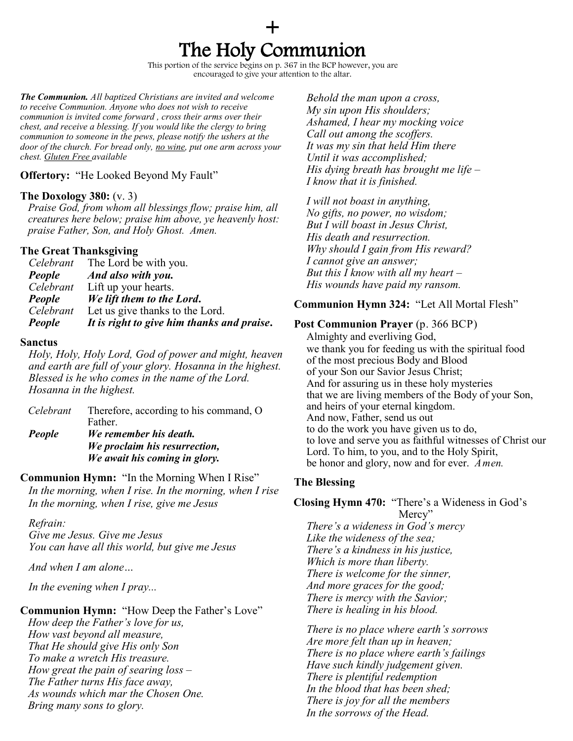# + The Holy Communion

This portion of the service begins on p. 367 in the BCP however, you are encouraged to give your attention to the altar.

*The Communion. All baptized Christians are invited and welcome to receive Communion. Anyone who does not wish to receive communion is invited come forward , cross their arms over their chest, and receive a blessing. If you would like the clergy to bring communion to someone in the pews, please notify the ushers at the door of the church. For bread only, no wine, put one arm across your chest. Gluten Free available* 

## **Offertory:** "He Looked Beyond My Fault"

## **The Doxology 380:** (v. 3)

*Praise God, from whom all blessings flow; praise him, all creatures here below; praise him above, ye heavenly host: praise Father, Son, and Holy Ghost. Amen.*

## **The Great Thanksgiving**

|           | <i>Celebrant</i> The Lord be with you.     |
|-----------|--------------------------------------------|
| People    | And also with you.                         |
| Celebrant | Lift up your hearts.                       |
| People    | We lift them to the Lord.                  |
| Celebrant | Let us give thanks to the Lord.            |
| People    | It is right to give him thanks and praise. |

## **Sanctus**

*Holy, Holy, Holy Lord, God of power and might, heaven and earth are full of your glory. Hosanna in the highest. Blessed is he who comes in the name of the Lord. Hosanna in the highest.* 

| Celebrant     | Therefore, according to his command, O |
|---------------|----------------------------------------|
|               | Father.                                |
| <b>People</b> | We remember his death.                 |
|               | We proclaim his resurrection,          |
|               | We await his coming in glory.          |

## **Communion Hymn:** "In the Morning When I Rise"

*In the morning, when I rise. In the morning, when I rise In the morning, when I rise, give me Jesus* 

## *Refrain:*

*Give me Jesus. Give me Jesus You can have all this world, but give me Jesus*

*And when I am alone…*

*In the evening when I pray...*

**Communion Hymn:** "How Deep the Father's Love"

*How deep the Father's love for us, How vast beyond all measure, That He should give His only Son To make a wretch His treasure. How great the pain of searing loss – The Father turns His face away, As wounds which mar the Chosen One. Bring many sons to glory.*

*Behold the man upon a cross, My sin upon His shoulders; Ashamed, I hear my mocking voice Call out among the scoffers. It was my sin that held Him there Until it was accomplished; His dying breath has brought me life – I know that it is finished.*

*I will not boast in anything, No gifts, no power, no wisdom; But I will boast in Jesus Christ, His death and resurrection. Why should I gain from His reward? I cannot give an answer; But this I know with all my heart – His wounds have paid my ransom.*

## **Communion Hymn 324:** "Let All Mortal Flesh"

## **Post Communion Prayer** (p. 366 BCP)

Almighty and everliving God, we thank you for feeding us with the spiritual food of the most precious Body and Blood of your Son our Savior Jesus Christ; And for assuring us in these holy mysteries that we are living members of the Body of your Son, and heirs of your eternal kingdom. And now, Father, send us out to do the work you have given us to do, to love and serve you as faithful witnesses of Christ our Lord. To him, to you, and to the Holy Spirit, be honor and glory, now and for ever. *Amen.*

## **The Blessing**

#### **Closing Hymn 470:** "There's a Wideness in God's Mercy"

*There's a wideness in God's mercy Like the wideness of the sea; There's a kindness in his justice, Which is more than liberty. There is welcome for the sinner, And more graces for the good; There is mercy with the Savior; There is healing in his blood.*

*There is no place where earth's sorrows Are more felt than up in heaven; There is no place where earth's failings Have such kindly judgement given. There is plentiful redemption In the blood that has been shed; There is joy for all the members In the sorrows of the Head.*